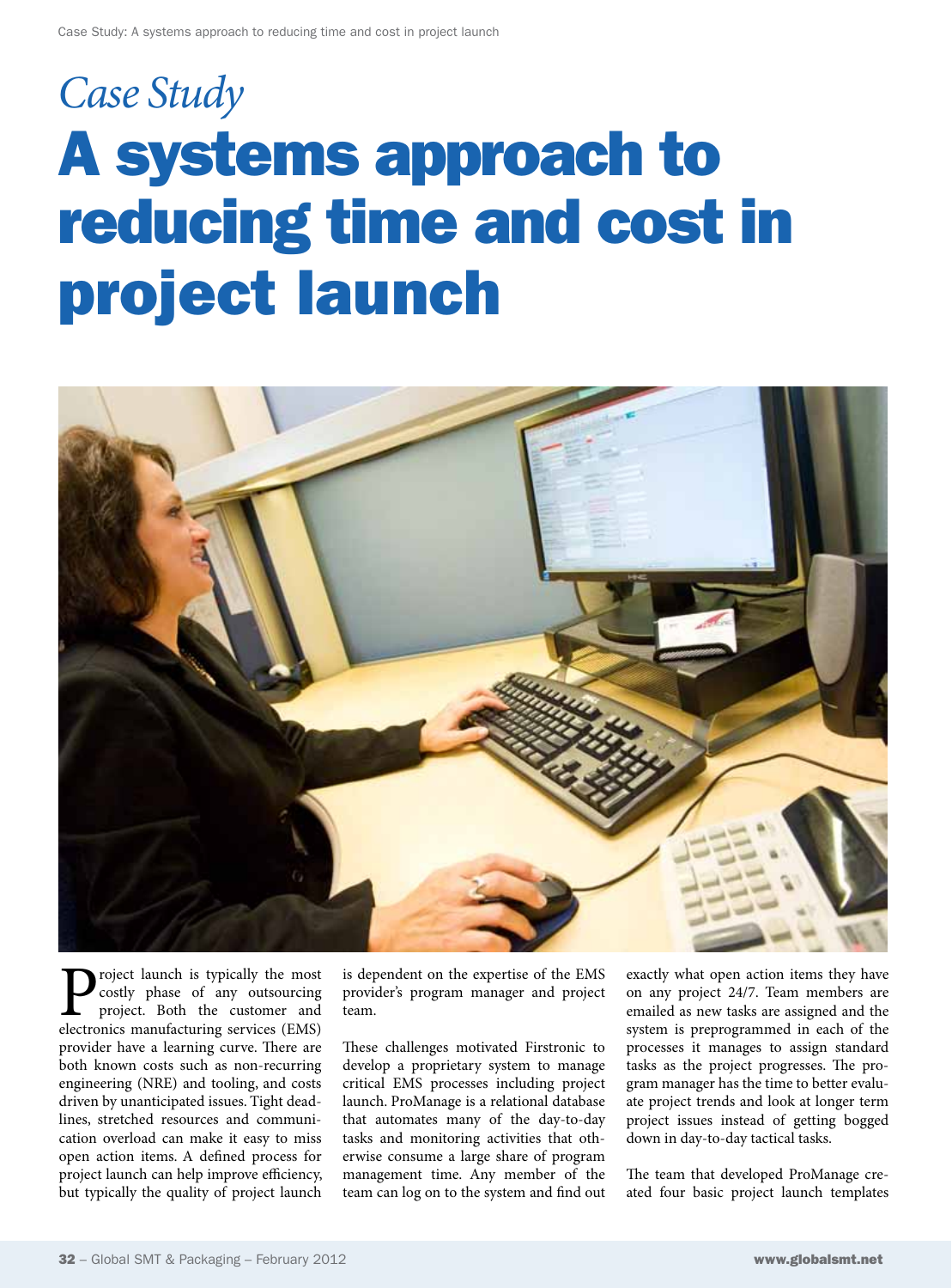## *Case Study* A systems approach to reducing time and cost in project launch



**P**roject launch is typically the most costly phase of any outsourcing project. Both the customer and electronics manufacturing services (EMS) costly phase of any outsourcing project. Both the customer and provider have a learning curve. There are both known costs such as non-recurring engineering (NRE) and tooling, and costs driven by unanticipated issues. Tight deadlines, stretched resources and communication overload can make it easy to miss open action items. A defined process for project launch can help improve efficiency, but typically the quality of project launch

is dependent on the expertise of the EMS provider's program manager and project team.

These challenges motivated Firstronic to develop a proprietary system to manage critical EMS processes including project launch. ProManage is a relational database that automates many of the day-to-day tasks and monitoring activities that otherwise consume a large share of program management time. Any member of the team can log on to the system and find out exactly what open action items they have on any project 24/7. Team members are emailed as new tasks are assigned and the system is preprogrammed in each of the processes it manages to assign standard tasks as the project progresses. The program manager has the time to better evaluate project trends and look at longer term project issues instead of getting bogged down in day-to-day tactical tasks.

The team that developed ProManage created four basic project launch templates